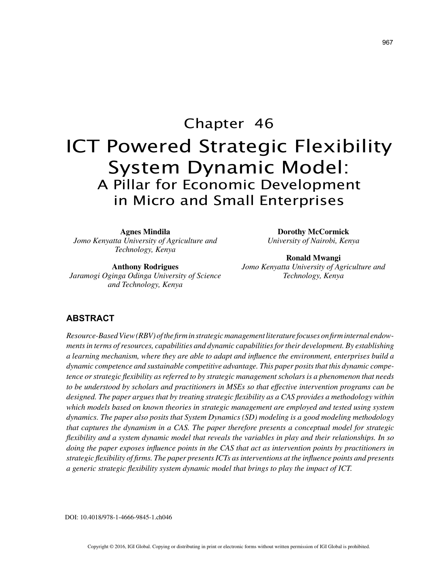# Chapter 46 ICT Powered Strategic Flexibility System Dynamic Model: A Pillar for Economic Development in Micro and Small Enterprises

**Agnes Mindila** *Jomo Kenyatta University of Agriculture and Technology, Kenya*

**Anthony Rodrigues** *Jaramogi Oginga Odinga University of Science and Technology, Kenya*

**Dorothy McCormick** *University of Nairobi, Kenya*

**Ronald Mwangi** *Jomo Kenyatta University of Agriculture and Technology, Kenya*

## **ABSTRACT**

*Resource-Based View (RBV) of the firm in strategic management literature focuses on firm internal endowments in terms of resources, capabilities and dynamic capabilities for their development. By establishing a learning mechanism, where they are able to adapt and influence the environment, enterprises build a dynamic competence and sustainable competitive advantage. This paper posits that this dynamic competence or strategic flexibility as referred to by strategic management scholars is a phenomenon that needs to be understood by scholars and practitioners in MSEs so that effective intervention programs can be designed. The paper argues that by treating strategic flexibility as a CAS provides a methodology within which models based on known theories in strategic management are employed and tested using system dynamics. The paper also posits that System Dynamics (SD) modeling is a good modeling methodology that captures the dynamism in a CAS. The paper therefore presents a conceptual model for strategic flexibility and a system dynamic model that reveals the variables in play and their relationships. In so doing the paper exposes influence points in the CAS that act as intervention points by practitioners in strategic flexibility of firms. The paper presents ICTs as interventions at the influence points and presents a generic strategic flexibility system dynamic model that brings to play the impact of ICT.*

DOI: 10.4018/978-1-4666-9845-1.ch046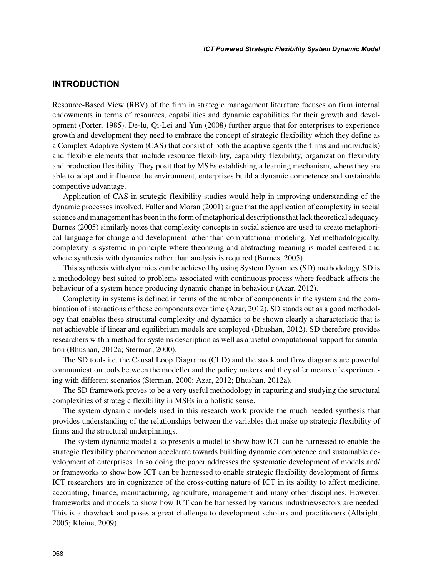# **INTRODUCTION**

Resource-Based View (RBV) of the firm in strategic management literature focuses on firm internal endowments in terms of resources, capabilities and dynamic capabilities for their growth and development (Porter, 1985). De-lu, Qi-Lei and Yun (2008) further argue that for enterprises to experience growth and development they need to embrace the concept of strategic flexibility which they define as a Complex Adaptive System (CAS) that consist of both the adaptive agents (the firms and individuals) and flexible elements that include resource flexibility, capability flexibility, organization flexibility and production flexibility. They posit that by MSEs establishing a learning mechanism, where they are able to adapt and influence the environment, enterprises build a dynamic competence and sustainable competitive advantage.

Application of CAS in strategic flexibility studies would help in improving understanding of the dynamic processes involved. Fuller and Moran (2001) argue that the application of complexity in social science and management has been in the form of metaphorical descriptions that lack theoretical adequacy. Burnes (2005) similarly notes that complexity concepts in social science are used to create metaphorical language for change and development rather than computational modeling. Yet methodologically, complexity is systemic in principle where theorizing and abstracting meaning is model centered and where synthesis with dynamics rather than analysis is required (Burnes, 2005).

This synthesis with dynamics can be achieved by using System Dynamics (SD) methodology. SD is a methodology best suited to problems associated with continuous process where feedback affects the behaviour of a system hence producing dynamic change in behaviour (Azar, 2012).

Complexity in systems is defined in terms of the number of components in the system and the combination of interactions of these components over time (Azar, 2012). SD stands out as a good methodology that enables these structural complexity and dynamics to be shown clearly a characteristic that is not achievable if linear and equilibrium models are employed (Bhushan, 2012). SD therefore provides researchers with a method for systems description as well as a useful computational support for simulation (Bhushan, 2012a; Sterman, 2000).

The SD tools i.e. the Causal Loop Diagrams (CLD) and the stock and flow diagrams are powerful communication tools between the modeller and the policy makers and they offer means of experimenting with different scenarios (Sterman, 2000; Azar, 2012; Bhushan, 2012a).

The SD framework proves to be a very useful methodology in capturing and studying the structural complexities of strategic flexibility in MSEs in a holistic sense.

The system dynamic models used in this research work provide the much needed synthesis that provides understanding of the relationships between the variables that make up strategic flexibility of firms and the structural underpinnings.

The system dynamic model also presents a model to show how ICT can be harnessed to enable the strategic flexibility phenomenon accelerate towards building dynamic competence and sustainable development of enterprises. In so doing the paper addresses the systematic development of models and/ or frameworks to show how ICT can be harnessed to enable strategic flexibility development of firms. ICT researchers are in cognizance of the cross-cutting nature of ICT in its ability to affect medicine, accounting, finance, manufacturing, agriculture, management and many other disciplines. However, frameworks and models to show how ICT can be harnessed by various industries/sectors are needed. This is a drawback and poses a great challenge to development scholars and practitioners (Albright, 2005; Kleine, 2009).